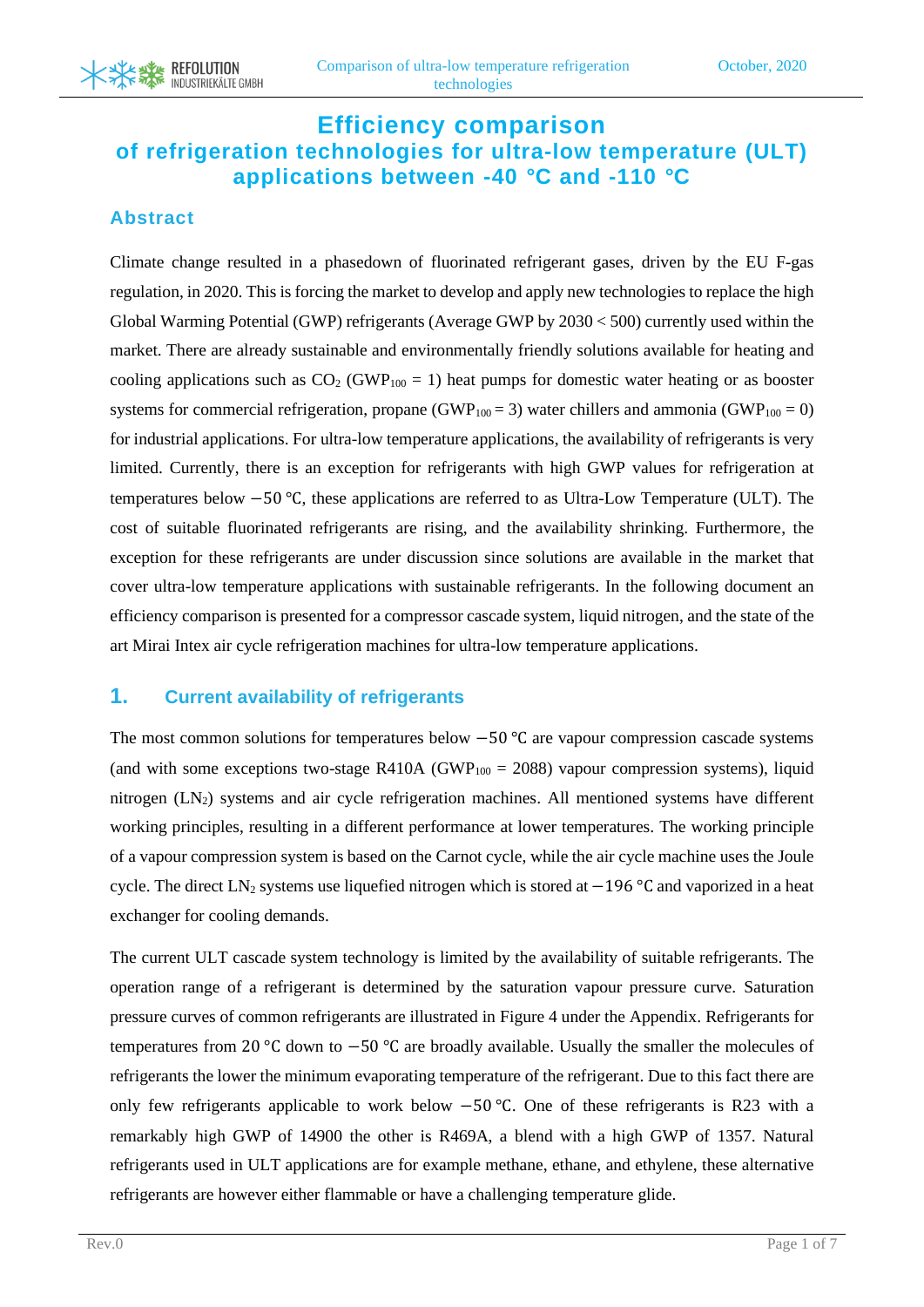## **Efficiency comparison of refrigeration technologies for ultra-low temperature (ULT) applications between -40** *°***C and -110** *°***C**

#### **Abstract**

**REFOLUTION** INDUSTRIEKÄLTE GMBH

Climate change resulted in a phasedown of fluorinated refrigerant gases, driven by the EU F-gas regulation, in 2020. This is forcing the market to develop and apply new technologies to replace the high Global Warming Potential (GWP) refrigerants (Average GWP by 2030 < 500) currently used within the market. There are already sustainable and environmentally friendly solutions available for heating and cooling applications such as  $CO<sub>2</sub>$  (GWP<sub>100</sub> = 1) heat pumps for domestic water heating or as booster systems for commercial refrigeration, propane (GWP<sub>100</sub> = 3) water chillers and ammonia (GWP<sub>100</sub> = 0) for industrial applications. For ultra-low temperature applications, the availability of refrigerants is very limited. Currently, there is an exception for refrigerants with high GWP values for refrigeration at temperatures below −50 °C, these applications are referred to as Ultra-Low Temperature (ULT). The cost of suitable fluorinated refrigerants are rising, and the availability shrinking. Furthermore, the exception for these refrigerants are under discussion since solutions are available in the market that cover ultra-low temperature applications with sustainable refrigerants. In the following document an efficiency comparison is presented for a compressor cascade system, liquid nitrogen, and the state of the art Mirai Intex air cycle refrigeration machines for ultra-low temperature applications.

#### **1. Current availability of refrigerants**

The most common solutions for temperatures below −50 °C are vapour compression cascade systems (and with some exceptions two-stage R410A (GWP<sub>100</sub> = 2088) vapour compression systems), liquid nitrogen (LN<sub>2</sub>) systems and air cycle refrigeration machines. All mentioned systems have different working principles, resulting in a different performance at lower temperatures. The working principle of a vapour compression system is based on the Carnot cycle, while the air cycle machine uses the Joule cycle. The direct LN<sub>2</sub> systems use liquefied nitrogen which is stored at −196 °C and vaporized in a heat exchanger for cooling demands.

The current ULT cascade system technology is limited by the availability of suitable refrigerants. The operation range of a refrigerant is determined by the saturation vapour pressure curve. Saturation pressure curves of common refrigerants are illustrated in [Figure 4](#page-5-0) under the Appendix. Refrigerants for temperatures from 20 °C down to −50 °C are broadly available. Usually the smaller the molecules of refrigerants the lower the minimum evaporating temperature of the refrigerant. Due to this fact there are only few refrigerants applicable to work below −50 °C. One of these refrigerants is R23 with a remarkably high GWP of 14900 the other is R469A, a blend with a high GWP of 1357. Natural refrigerants used in ULT applications are for example methane, ethane, and ethylene, these alternative refrigerants are however either flammable or have a challenging temperature glide.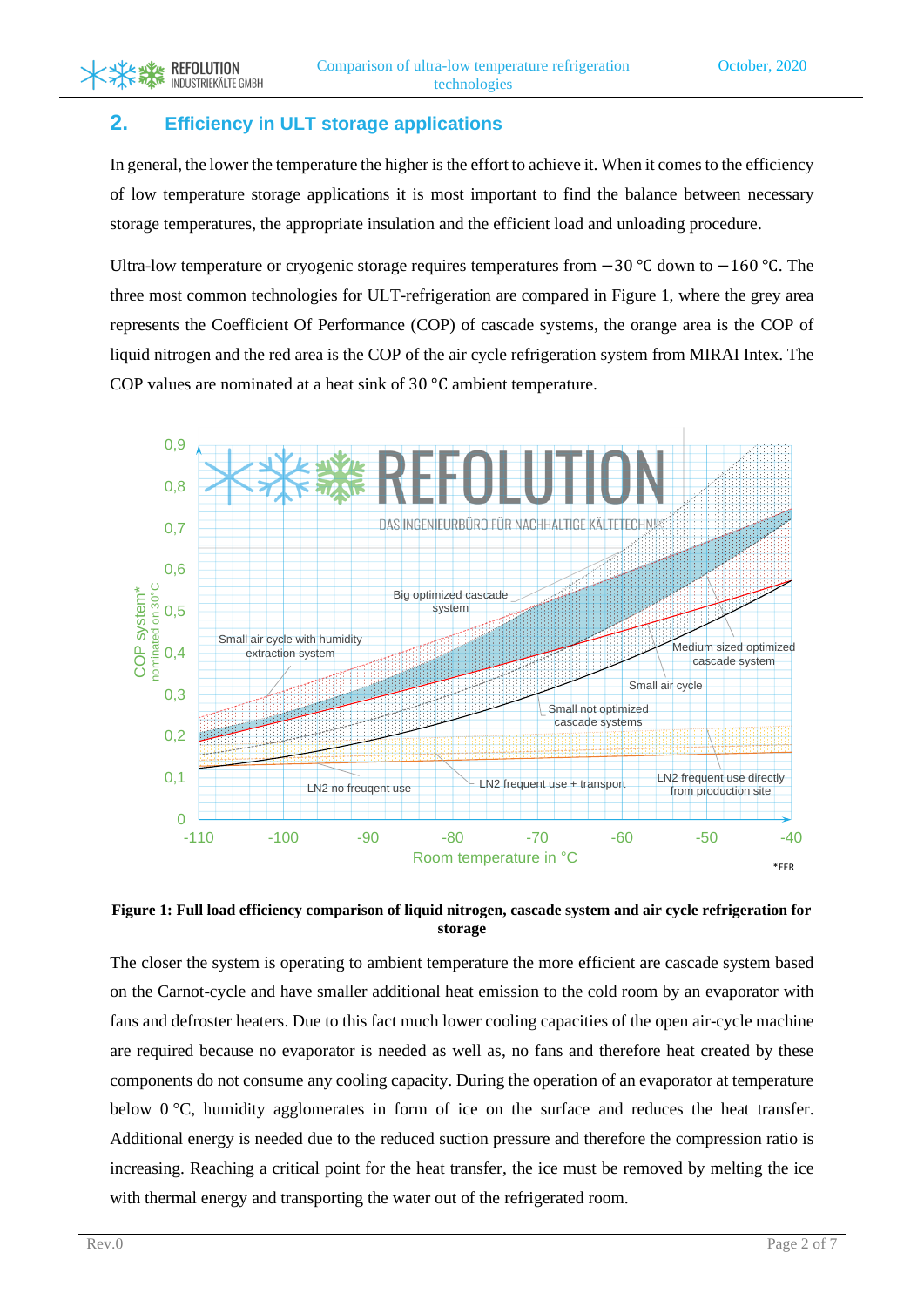### **2. Efficiency in ULT storage applications**

**REFOLUTION** INDUSTRIEKÄLTE GMBH

In general, the lower the temperature the higher is the effort to achieve it. When it comes to the efficiency of low temperature storage applications it is most important to find the balance between necessary storage temperatures, the appropriate insulation and the efficient load and unloading procedure.

Ultra-low temperature or cryogenic storage requires temperatures from −30 °C down to −160 °C. The three most common technologies for ULT-refrigeration are compared in [Figure 1,](#page-1-0) where the grey area represents the Coefficient Of Performance (COP) of cascade systems, the orange area is the COP of liquid nitrogen and the red area is the COP of the air cycle refrigeration system from MIRAI Intex. The COP values are nominated at a heat sink of 30 °C ambient temperature.



#### <span id="page-1-0"></span>**Figure 1: Full load efficiency comparison of liquid nitrogen, cascade system and air cycle refrigeration for storage**

The closer the system is operating to ambient temperature the more efficient are cascade system based on the Carnot-cycle and have smaller additional heat emission to the cold room by an evaporator with fans and defroster heaters. Due to this fact much lower cooling capacities of the open air-cycle machine are required because no evaporator is needed as well as, no fans and therefore heat created by these components do not consume any cooling capacity. During the operation of an evaporator at temperature below 0 °C, humidity agglomerates in form of ice on the surface and reduces the heat transfer. Additional energy is needed due to the reduced suction pressure and therefore the compression ratio is increasing. Reaching a critical point for the heat transfer, the ice must be removed by melting the ice with thermal energy and transporting the water out of the refrigerated room.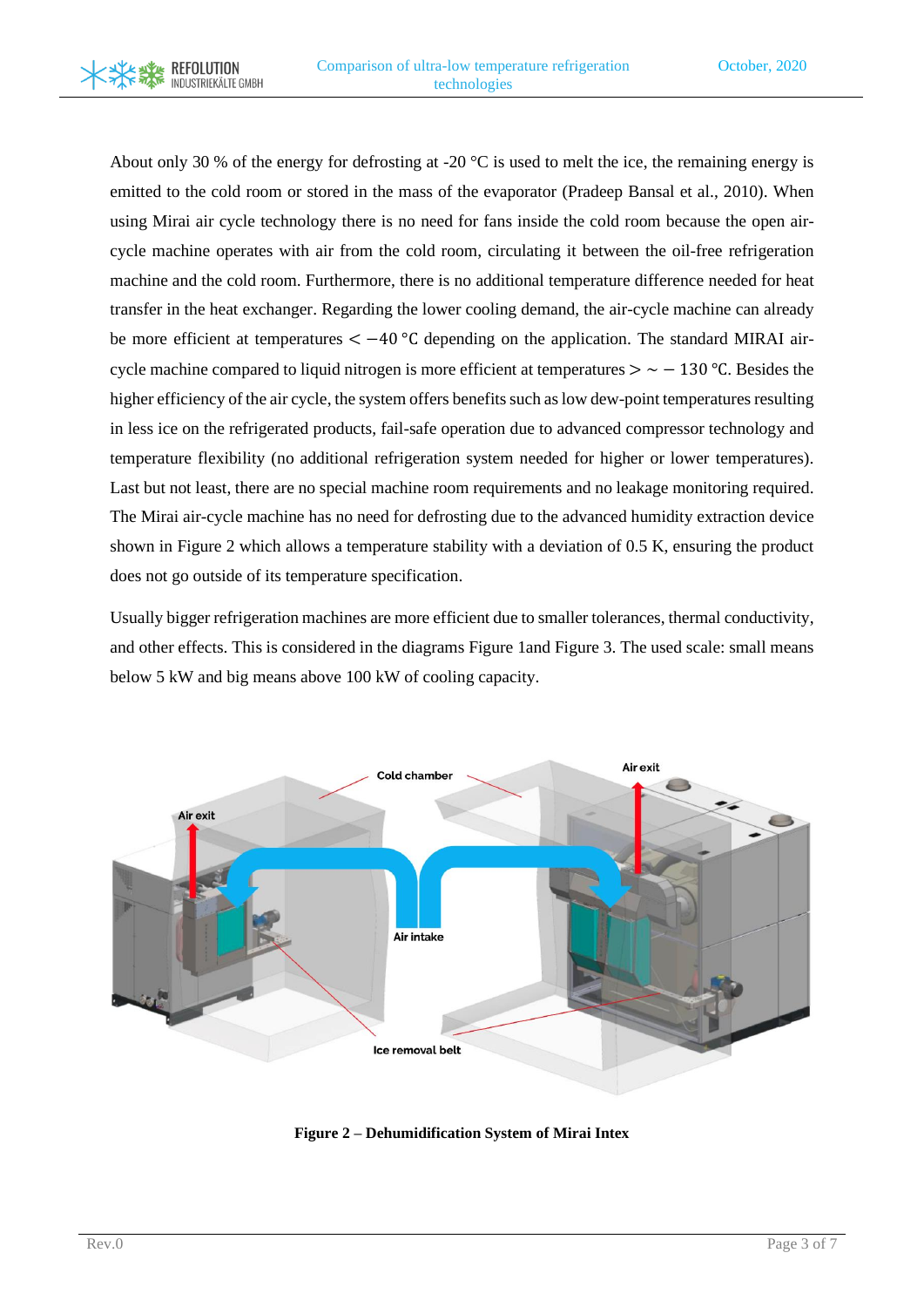**REFOLUTION** INDUSTRIEKÄLTE GMBH

About only 30 % of the energy for defrosting at -20  $^{\circ}$ C is used to melt the ice, the remaining energy is emitted to the cold room or stored in the mass of the evaporator (Pradeep Bansal et al., 2010). When using Mirai air cycle technology there is no need for fans inside the cold room because the open aircycle machine operates with air from the cold room, circulating it between the oil-free refrigeration machine and the cold room. Furthermore, there is no additional temperature difference needed for heat transfer in the heat exchanger. Regarding the lower cooling demand, the air-cycle machine can already be more efficient at temperatures  $\lt -40$  °C depending on the application. The standard MIRAI aircycle machine compared to liquid nitrogen is more efficient at temperatures  $> \sim -130$  °C. Besides the higher efficiency of the air cycle, the system offers benefits such as low dew-point temperatures resulting in less ice on the refrigerated products, fail-safe operation due to advanced compressor technology and temperature flexibility (no additional refrigeration system needed for higher or lower temperatures). Last but not least, there are no special machine room requirements and no leakage monitoring required. The Mirai air-cycle machine has no need for defrosting due to the advanced humidity extraction device shown in [Figure 2](#page-2-0) which allows a temperature stability with a deviation of 0.5 K, ensuring the product does not go outside of its temperature specification.

Usually bigger refrigeration machines are more efficient due to smaller tolerances, thermal conductivity, and other effects. This is considered in the diagrams [Figure 1a](#page-1-0)nd [Figure 3.](#page-3-0) The used scale: small means below 5 kW and big means above 100 kW of cooling capacity.



<span id="page-2-0"></span>**Figure 2 – Dehumidification System of Mirai Intex**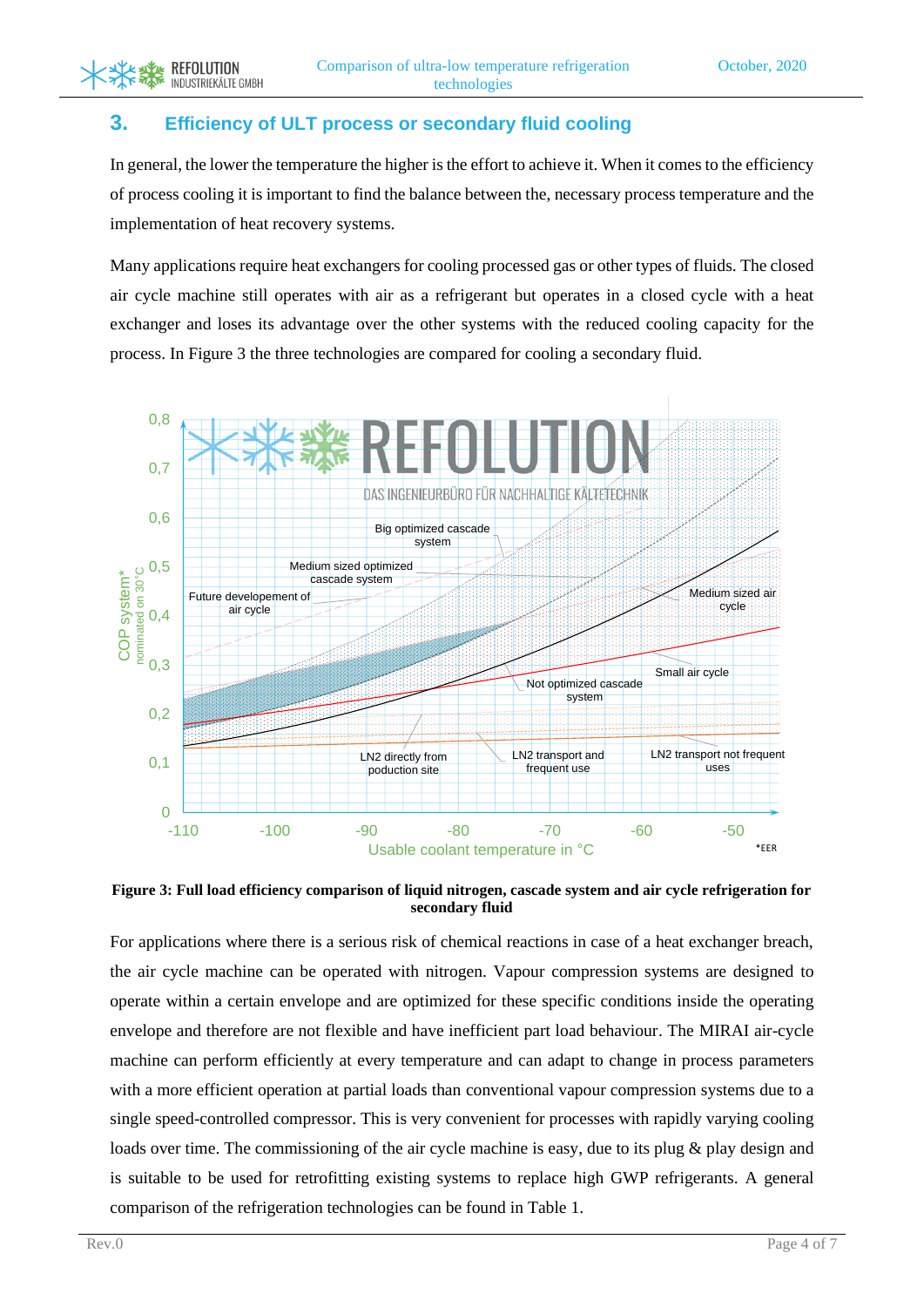#### **3. Efficiency of ULT process or secondary fluid cooling**

**REFOLUTION** INDUSTRIEKÄLTE GMBH

In general, the lower the temperature the higher is the effort to achieve it. When it comes to the efficiency of process cooling it is important to find the balance between the, necessary process temperature and the implementation of heat recovery systems.

Many applications require heat exchangers for cooling processed gas or other types of fluids. The closed air cycle machine still operates with air as a refrigerant but operates in a closed cycle with a heat exchanger and loses its advantage over the other systems with the reduced cooling capacity for the process. In [Figure 3](#page-3-0) the three technologies are compared for cooling a secondary fluid.



<span id="page-3-0"></span>**Figure 3: Full load efficiency comparison of liquid nitrogen, cascade system and air cycle refrigeration for secondary fluid** 

For applications where there is a serious risk of chemical reactions in case of a heat exchanger breach, the air cycle machine can be operated with nitrogen. Vapour compression systems are designed to operate within a certain envelope and are optimized for these specific conditions inside the operating envelope and therefore are not flexible and have inefficient part load behaviour. The MIRAI air-cycle machine can perform efficiently at every temperature and can adapt to change in process parameters with a more efficient operation at partial loads than conventional vapour compression systems due to a single speed-controlled compressor. This is very convenient for processes with rapidly varying cooling loads over time. The commissioning of the air cycle machine is easy, due to its plug & play design and is suitable to be used for retrofitting existing systems to replace high GWP refrigerants. A general comparison of the refrigeration technologies can be found in [Table 1.](#page-4-0)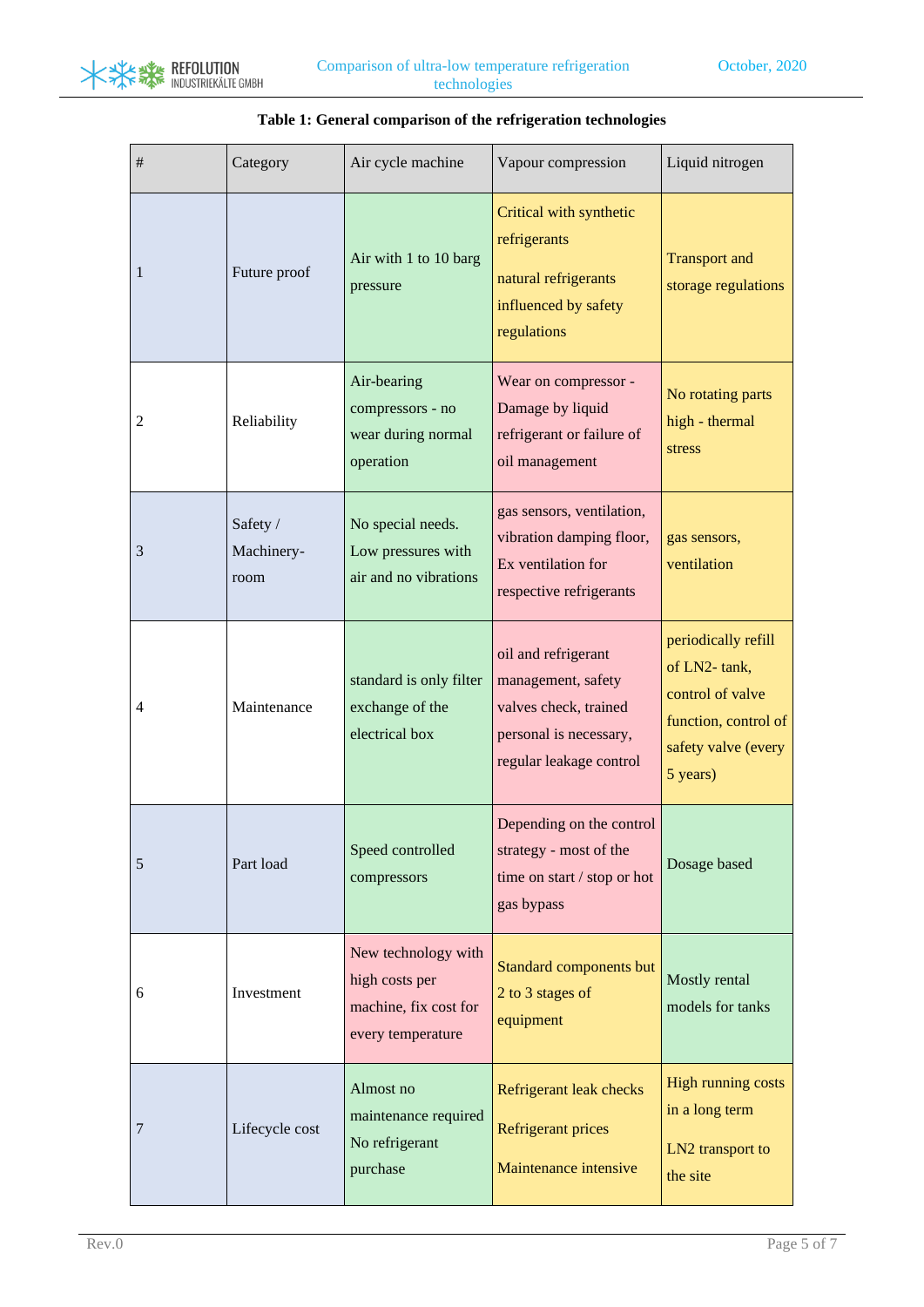

<span id="page-4-0"></span>

| $\#$ | Category                       | Air cycle machine                                                                   | Vapour compression                                                                                                      | Liquid nitrogen                                                                                                    |
|------|--------------------------------|-------------------------------------------------------------------------------------|-------------------------------------------------------------------------------------------------------------------------|--------------------------------------------------------------------------------------------------------------------|
| 1    | Future proof                   | Air with 1 to 10 barg<br>pressure                                                   | Critical with synthetic<br>refrigerants<br>natural refrigerants<br>influenced by safety<br>regulations                  | <b>Transport and</b><br>storage regulations                                                                        |
| 2    | Reliability                    | Air-bearing<br>compressors - no<br>wear during normal<br>operation                  | Wear on compressor -<br>Damage by liquid<br>refrigerant or failure of<br>oil management                                 | No rotating parts<br>high - thermal<br>stress                                                                      |
| 3    | Safety /<br>Machinery-<br>room | No special needs.<br>Low pressures with<br>air and no vibrations                    | gas sensors, ventilation,<br>vibration damping floor,<br>Ex ventilation for<br>respective refrigerants                  | gas sensors,<br>ventilation                                                                                        |
| 4    | Maintenance                    | standard is only filter<br>exchange of the<br>electrical box                        | oil and refrigerant<br>management, safety<br>valves check, trained<br>personal is necessary,<br>regular leakage control | periodically refill<br>of LN2-tank,<br>control of valve<br>function, control of<br>safety valve (every<br>5 years) |
| 5    | Part load                      | Speed controlled<br>compressors                                                     | Depending on the control<br>strategy - most of the<br>time on start / stop or hot<br>gas bypass                         | Dosage based                                                                                                       |
| 6    | Investment                     | New technology with<br>high costs per<br>machine, fix cost for<br>every temperature | <b>Standard components but</b><br>2 to 3 stages of<br>equipment                                                         | Mostly rental<br>models for tanks                                                                                  |
| 7    | Lifecycle cost                 | Almost no<br>maintenance required<br>No refrigerant<br>purchase                     | Refrigerant leak checks<br><b>Refrigerant prices</b><br>Maintenance intensive                                           | High running costs<br>in a long term<br>LN2 transport to<br>the site                                               |

#### **Table 1: General comparison of the refrigeration technologies**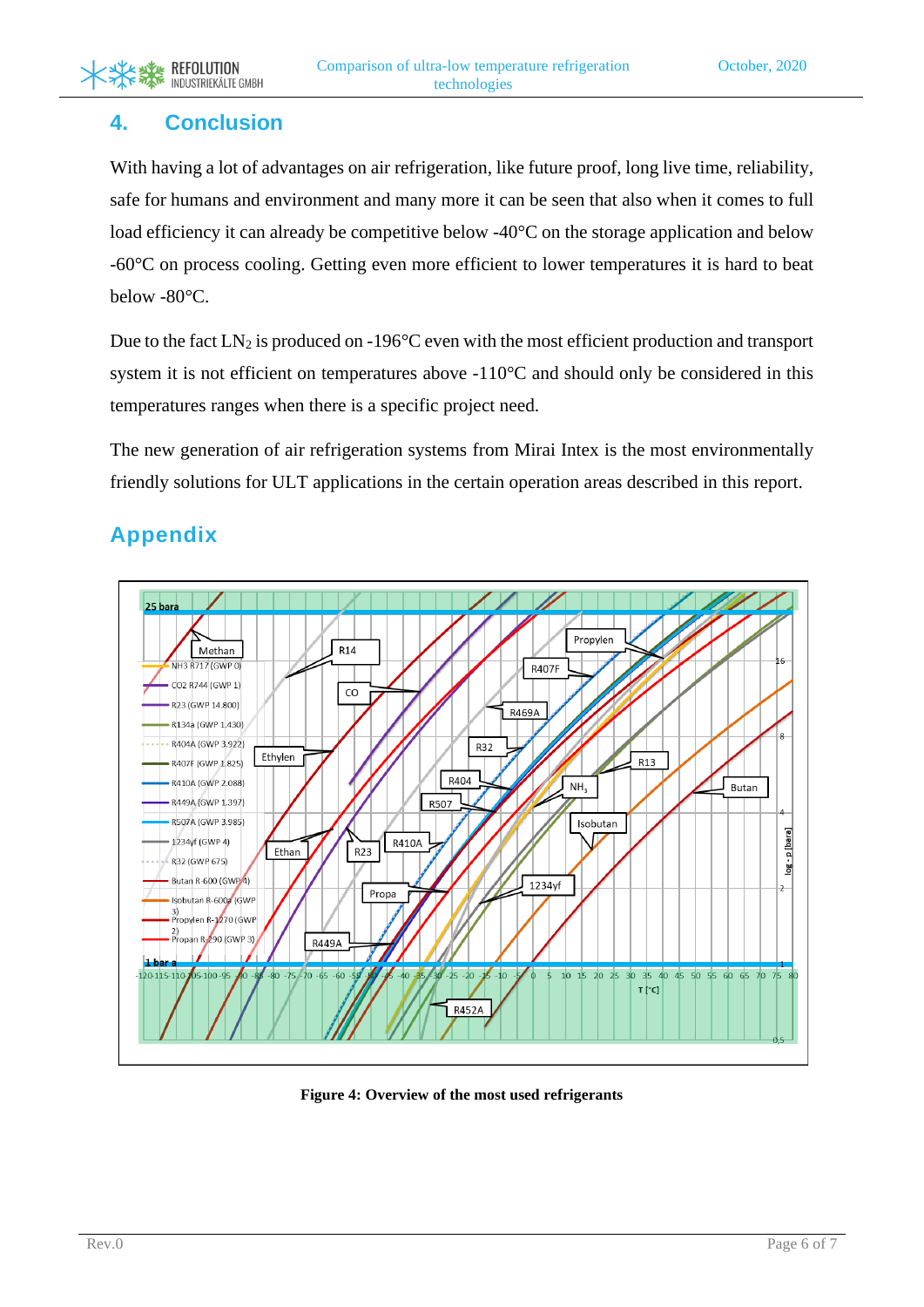## **4. Conclusion**

With having a lot of advantages on air refrigeration, like future proof, long live time, reliability, safe for humans and environment and many more it can be seen that also when it comes to full load efficiency it can already be competitive below -40°C on the storage application and below -60°C on process cooling. Getting even more efficient to lower temperatures it is hard to beat below -80°C.

Due to the fact  $LN_2$  is produced on -196 $^{\circ}$ C even with the most efficient production and transport system it is not efficient on temperatures above -110°C and should only be considered in this temperatures ranges when there is a specific project need.

The new generation of air refrigeration systems from Mirai Intex is the most environmentally friendly solutions for ULT applications in the certain operation areas described in this report.

# **Appendix**



<span id="page-5-0"></span>**Figure 4: Overview of the most used refrigerants**